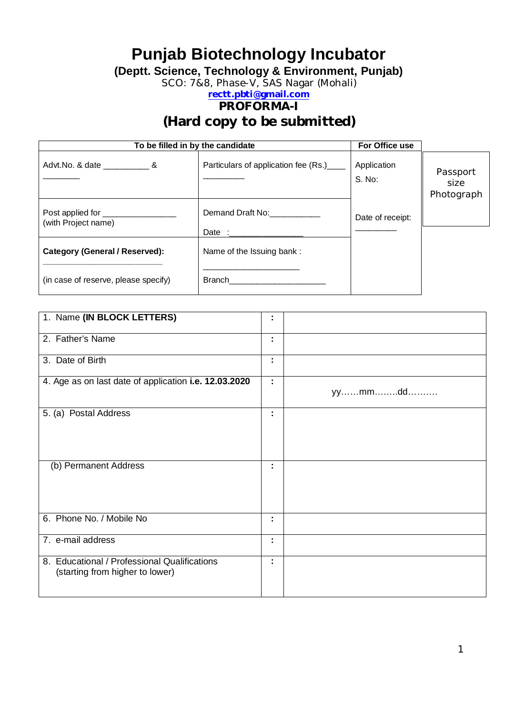# **Punjab Biotechnology Incubator**

**(Deptt. Science, Technology & Environment, Punjab)**

SCO: 7&8, Phase-V, SAS Nagar (Mohali)

### **rectt.pbti@gmail.com PROFORMA-I**

**(Hard copy to be submitted)**

| To be filled in by the candidate      | For Office use                       |                       |                                |
|---------------------------------------|--------------------------------------|-----------------------|--------------------------------|
|                                       | Particulars of application fee (Rs.) | Application<br>S. No: | Passport<br>size<br>Photograph |
| (with Project name)                   | Demand Draft No:                     | Date of receipt:      |                                |
| <b>Category (General / Reserved):</b> | Name of the Issuing bank:            |                       |                                |
| (in case of reserve, please specify)  | Branch                               |                       |                                |

| 1. Name (IN BLOCK LETTERS)                                                      | t |        |
|---------------------------------------------------------------------------------|---|--------|
| 2. Father's Name                                                                | ÷ |        |
| 3. Date of Birth                                                                | t |        |
| 4. Age as on last date of application i.e. 12.03.2020                           | ٠ | yymmdd |
| 5. (a) Postal Address                                                           | ٠ |        |
| (b) Permanent Address                                                           | ٠ |        |
| 6. Phone No. / Mobile No                                                        | ÷ |        |
| 7. e-mail address                                                               | ٠ |        |
| 8. Educational / Professional Qualifications<br>(starting from higher to lower) | ٠ |        |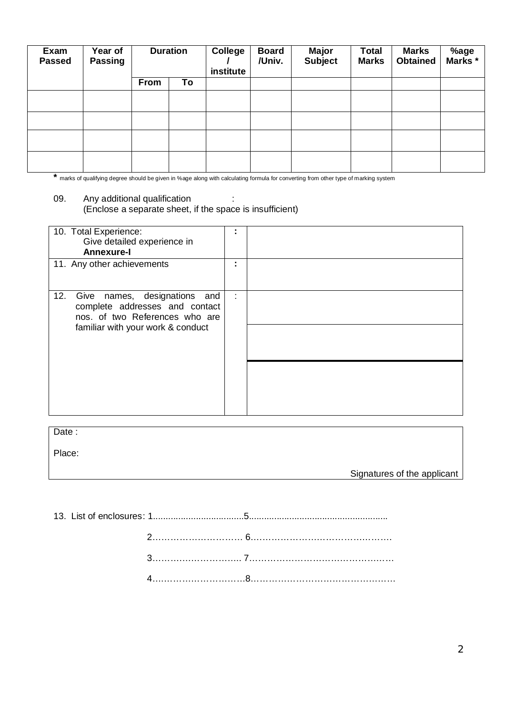| Exam<br><b>Passed</b> | Year of<br><b>Passing</b> | <b>Duration</b> |    | <b>College</b><br>institute | <b>Board</b><br>/Univ. | <b>Major</b><br><b>Subject</b> | <b>Total</b><br><b>Marks</b> | <b>Marks</b><br><b>Obtained</b> | %age<br>Marks * |
|-----------------------|---------------------------|-----------------|----|-----------------------------|------------------------|--------------------------------|------------------------------|---------------------------------|-----------------|
|                       |                           | From            | To |                             |                        |                                |                              |                                 |                 |
|                       |                           |                 |    |                             |                        |                                |                              |                                 |                 |
|                       |                           |                 |    |                             |                        |                                |                              |                                 |                 |
|                       |                           |                 |    |                             |                        |                                |                              |                                 |                 |
|                       |                           |                 |    |                             |                        |                                |                              |                                 |                 |

**\*** marks of qualifying degree should be given in %age along with calculating formula for converting from other type of marking system

#### 09. Any additional qualification : (Enclose a separate sheet, if the space is insufficient)

| 10. Total Experience:<br>Give detailed experience in<br><b>Annexure-I</b>                                                                       |   |  |
|-------------------------------------------------------------------------------------------------------------------------------------------------|---|--|
| 11. Any other achievements                                                                                                                      |   |  |
| Give names, designations<br>12.<br>and<br>complete addresses and contact<br>nos. of two References who are<br>familiar with your work & conduct | ÷ |  |
|                                                                                                                                                 |   |  |

Date:

Place:

Signatures of the applicant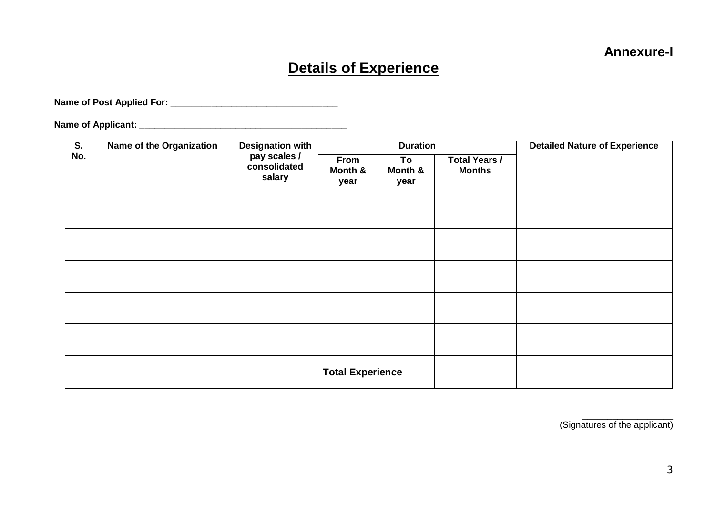# **Details of Experience**

**Name of Post Applied For: \_\_\_\_\_\_\_\_\_\_\_\_\_\_\_\_\_\_\_\_\_\_\_\_\_\_\_\_\_\_\_\_\_**

**Name of Applicant: \_\_\_\_\_\_\_\_\_\_\_\_\_\_\_\_\_\_\_\_\_\_\_\_\_\_\_\_\_\_\_\_\_\_\_\_\_\_\_\_\_**

| $\overline{\mathsf{S}}$ . | <b>Name of the Organization</b> | <b>Designation with</b>                |                         | <b>Duration</b>       |                                       | <b>Detailed Nature of Experience</b> |  |  |  |
|---------------------------|---------------------------------|----------------------------------------|-------------------------|-----------------------|---------------------------------------|--------------------------------------|--|--|--|
| No.                       |                                 | pay scales /<br>consolidated<br>salary | From<br>Month &<br>year | To<br>Month &<br>year | <b>Total Years /</b><br><b>Months</b> |                                      |  |  |  |
|                           |                                 |                                        |                         |                       |                                       |                                      |  |  |  |
|                           |                                 |                                        |                         |                       |                                       |                                      |  |  |  |
|                           |                                 |                                        |                         |                       |                                       |                                      |  |  |  |
|                           |                                 |                                        |                         |                       |                                       |                                      |  |  |  |
|                           |                                 |                                        |                         |                       |                                       |                                      |  |  |  |
|                           |                                 |                                        | <b>Total Experience</b> |                       |                                       |                                      |  |  |  |

 $\frac{1}{\sqrt{2}}$  ,  $\frac{1}{\sqrt{2}}$  ,  $\frac{1}{\sqrt{2}}$  ,  $\frac{1}{\sqrt{2}}$  ,  $\frac{1}{\sqrt{2}}$  ,  $\frac{1}{\sqrt{2}}$  ,  $\frac{1}{\sqrt{2}}$  ,  $\frac{1}{\sqrt{2}}$  ,  $\frac{1}{\sqrt{2}}$  ,  $\frac{1}{\sqrt{2}}$  ,  $\frac{1}{\sqrt{2}}$  ,  $\frac{1}{\sqrt{2}}$  ,  $\frac{1}{\sqrt{2}}$  ,  $\frac{1}{\sqrt{2}}$  ,  $\frac{1}{\sqrt{2}}$ (Signatures of the applicant)